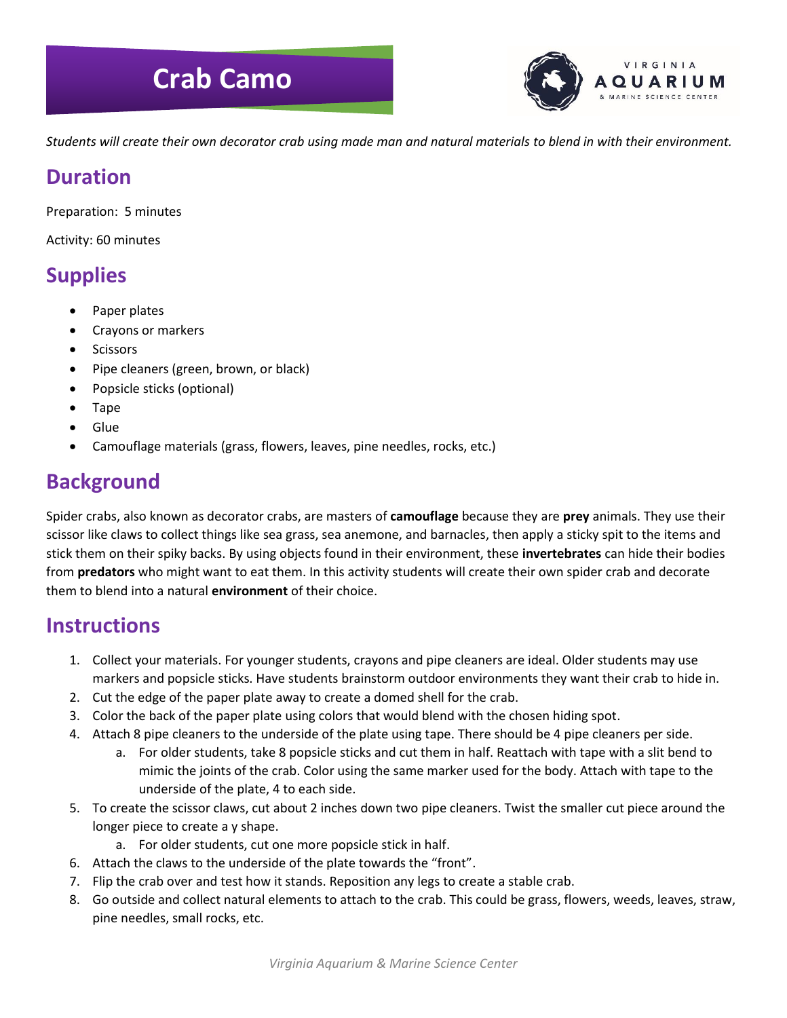# **Crab Camo**



*Students will create their own decorator crab using made man and natural materials to blend in with their environment.*

### **Duration**

Preparation: 5 minutes

Activity: 60 minutes

# **Supplies**

- Paper plates
- Crayons or markers
- Scissors
- Pipe cleaners (green, brown, or black)
- Popsicle sticks (optional)
- Tape
- Glue
- Camouflage materials (grass, flowers, leaves, pine needles, rocks, etc.)

## **Background**

Spider crabs, also known as decorator crabs, are masters of **camouflage** because they are **prey** animals. They use their scissor like claws to collect things like sea grass, sea anemone, and barnacles, then apply a sticky spit to the items and stick them on their spiky backs. By using objects found in their environment, these **invertebrates** can hide their bodies from **predators** who might want to eat them. In this activity students will create their own spider crab and decorate them to blend into a natural **environment** of their choice.

#### **Instructions**

- 1. Collect your materials. For younger students, crayons and pipe cleaners are ideal. Older students may use markers and popsicle sticks. Have students brainstorm outdoor environments they want their crab to hide in.
- 2. Cut the edge of the paper plate away to create a domed shell for the crab.
- 3. Color the back of the paper plate using colors that would blend with the chosen hiding spot.
- 4. Attach 8 pipe cleaners to the underside of the plate using tape. There should be 4 pipe cleaners per side.
	- a. For older students, take 8 popsicle sticks and cut them in half. Reattach with tape with a slit bend to mimic the joints of the crab. Color using the same marker used for the body. Attach with tape to the underside of the plate, 4 to each side.
- 5. To create the scissor claws, cut about 2 inches down two pipe cleaners. Twist the smaller cut piece around the longer piece to create a y shape.
	- a. For older students, cut one more popsicle stick in half.
- 6. Attach the claws to the underside of the plate towards the "front".
- 7. Flip the crab over and test how it stands. Reposition any legs to create a stable crab.
- 8. Go outside and collect natural elements to attach to the crab. This could be grass, flowers, weeds, leaves, straw, pine needles, small rocks, etc.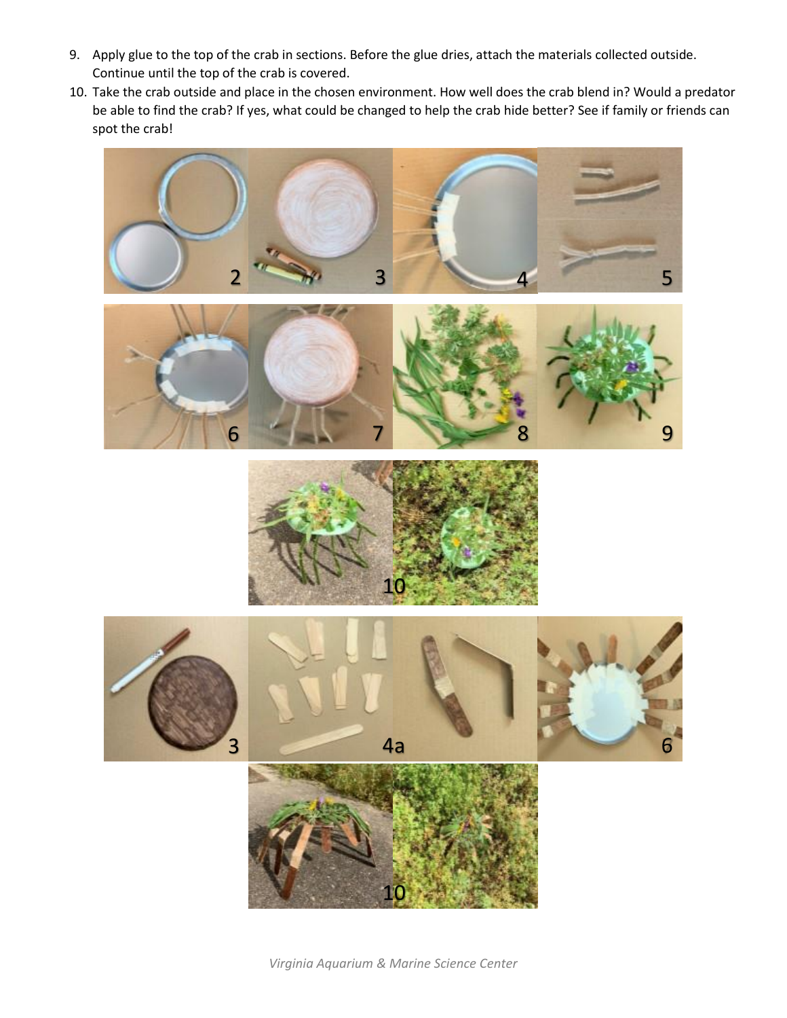- 9. Apply glue to the top of the crab in sections. Before the glue dries, attach the materials collected outside. Continue until the top of the crab is covered.
- 10. Take the crab outside and place in the chosen environment. How well does the crab blend in? Would a predator be able to find the crab? If yes, what could be changed to help the crab hide better? See if family or friends can spot the crab!









*Virginia Aquarium & Marine Science Center*